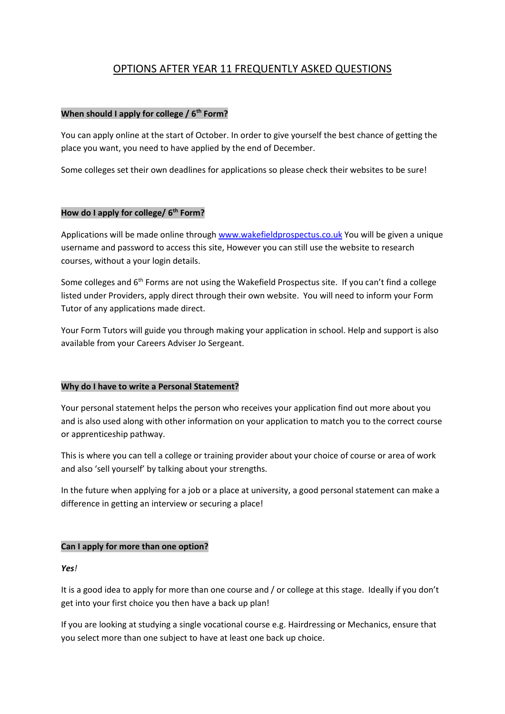# OPTIONS AFTER YEAR 11 FREQUENTLY ASKED QUESTIONS

### **When should I apply for college / 6th Form?**

You can apply online at the start of October. In order to give yourself the best chance of getting the place you want, you need to have applied by the end of December.

Some colleges set their own deadlines for applications so please check their websites to be sure!

### **How do I apply for college/ 6th Form?**

Applications will be made online throug[h www.wakefieldprospectus.co.uk](http://www.wakefieldprospectus.co.uk/) You will be given a unique username and password to access this site, However you can still use the website to research courses, without a your login details.

Some colleges and 6<sup>th</sup> Forms are not using the Wakefield Prospectus site. If you can't find a college listed under Providers, apply direct through their own website. You will need to inform your Form Tutor of any applications made direct.

Your Form Tutors will guide you through making your application in school. Help and support is also available from your Careers Adviser Jo Sergeant.

### **Why do I have to write a Personal Statement?**

Your personal statement helps the person who receives your application find out more about you and is also used along with other information on your application to match you to the correct course or apprenticeship pathway.

This is where you can tell a college or training provider about your choice of course or area of work and also 'sell yourself' by talking about your strengths.

In the future when applying for a job or a place at university, a good personal statement can make a difference in getting an interview or securing a place!

### **Can I apply for more than one option?**

*Yes!*

It is a good idea to apply for more than one course and / or college at this stage. Ideally if you don't get into your first choice you then have a back up plan!

If you are looking at studying a single vocational course e.g. Hairdressing or Mechanics, ensure that you select more than one subject to have at least one back up choice.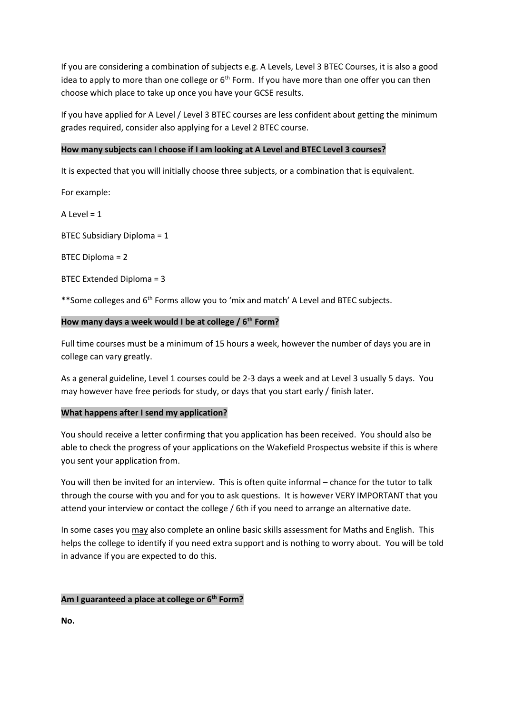If you are considering a combination of subjects e.g. A Levels, Level 3 BTEC Courses, it is also a good idea to apply to more than one college or  $6<sup>th</sup>$  Form. If you have more than one offer you can then choose which place to take up once you have your GCSE results.

If you have applied for A Level / Level 3 BTEC courses are less confident about getting the minimum grades required, consider also applying for a Level 2 BTEC course.

### **How many subjects can I choose if I am looking at A Level and BTEC Level 3 courses?**

It is expected that you will initially choose three subjects, or a combination that is equivalent.

For example:

 $A$  Level = 1

BTEC Subsidiary Diploma = 1

BTEC Diploma = 2

### BTEC Extended Diploma = 3

\*\*Some colleges and 6<sup>th</sup> Forms allow you to 'mix and match' A Level and BTEC subjects.

### **How many days a week would I be at college / 6th Form?**

Full time courses must be a minimum of 15 hours a week, however the number of days you are in college can vary greatly.

As a general guideline, Level 1 courses could be 2-3 days a week and at Level 3 usually 5 days. You may however have free periods for study, or days that you start early / finish later.

### **What happens after I send my application?**

You should receive a letter confirming that you application has been received. You should also be able to check the progress of your applications on the Wakefield Prospectus website if this is where you sent your application from.

You will then be invited for an interview. This is often quite informal – chance for the tutor to talk through the course with you and for you to ask questions. It is however VERY IMPORTANT that you attend your interview or contact the college / 6th if you need to arrange an alternative date.

In some cases you may also complete an online basic skills assessment for Maths and English. This helps the college to identify if you need extra support and is nothing to worry about. You will be told in advance if you are expected to do this.

### **Am I guaranteed a place at college or 6 th Form?**

**No.**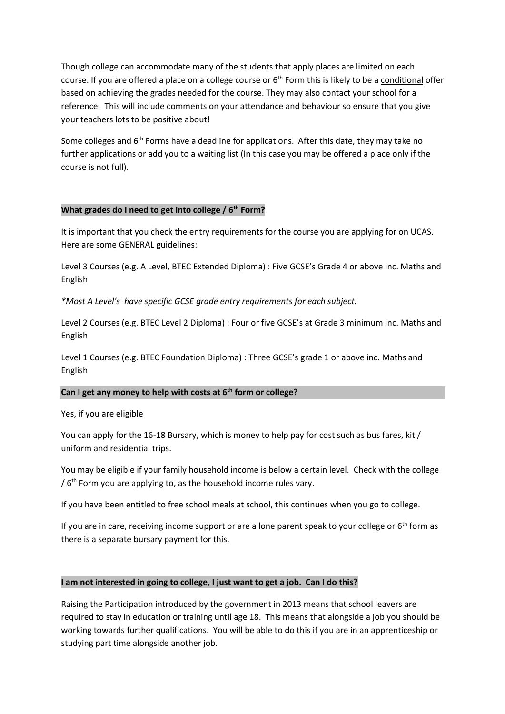Though college can accommodate many of the students that apply places are limited on each course. If you are offered a place on a college course or 6<sup>th</sup> Form this is likely to be a conditional offer based on achieving the grades needed for the course. They may also contact your school for a reference. This will include comments on your attendance and behaviour so ensure that you give your teachers lots to be positive about!

Some colleges and  $6<sup>th</sup>$  Forms have a deadline for applications. After this date, they may take no further applications or add you to a waiting list (In this case you may be offered a place only if the course is not full).

### **What grades do I need to get into college / 6th Form?**

It is important that you check the entry requirements for the course you are applying for on UCAS. Here are some GENERAL guidelines:

Level 3 Courses (e.g. A Level, BTEC Extended Diploma) : Five GCSE's Grade 4 or above inc. Maths and English

*\*Most A Level's have specific GCSE grade entry requirements for each subject.*

Level 2 Courses (e.g. BTEC Level 2 Diploma) : Four or five GCSE's at Grade 3 minimum inc. Maths and English

Level 1 Courses (e.g. BTEC Foundation Diploma) : Three GCSE's grade 1 or above inc. Maths and English

### **Can I get any money to help with costs at 6th form or college?**

Yes, if you are eligible

You can apply for the 16-18 Bursary, which is money to help pay for cost such as bus fares, kit / uniform and residential trips.

You may be eligible if your family household income is below a certain level. Check with the college /  $6<sup>th</sup>$  Form you are applying to, as the household income rules vary.

If you have been entitled to free school meals at school, this continues when you go to college.

If you are in care, receiving income support or are a lone parent speak to your college or  $6<sup>th</sup>$  form as there is a separate bursary payment for this.

### **I am not interested in going to college, I just want to get a job. Can I do this?**

Raising the Participation introduced by the government in 2013 means that school leavers are required to stay in education or training until age 18. This means that alongside a job you should be working towards further qualifications. You will be able to do this if you are in an apprenticeship or studying part time alongside another job.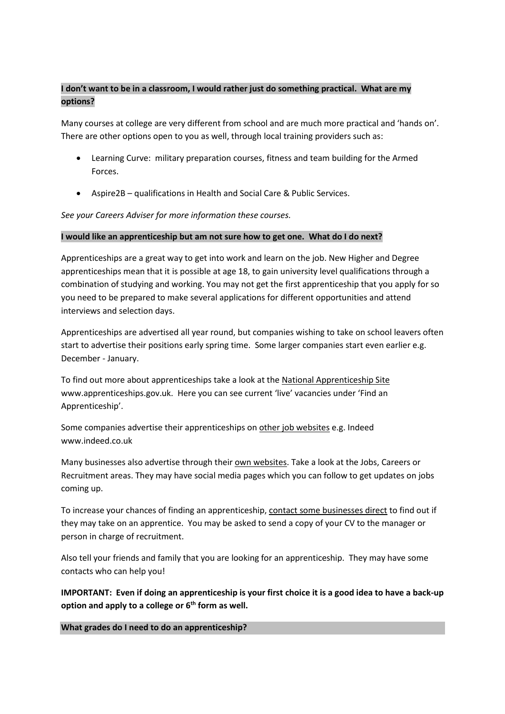# **I don't want to be in a classroom, I would rather just do something practical. What are my options?**

Many courses at college are very different from school and are much more practical and 'hands on'. There are other options open to you as well, through local training providers such as:

- Learning Curve: military preparation courses, fitness and team building for the Armed Forces.
- Aspire2B qualifications in Health and Social Care & Public Services.

*See your Careers Adviser for more information these courses.*

### **I would like an apprenticeship but am not sure how to get one. What do I do next?**

Apprenticeships are a great way to get into work and learn on the job. New Higher and Degree apprenticeships mean that it is possible at age 18, to gain university level qualifications through a combination of studying and working. You may not get the first apprenticeship that you apply for so you need to be prepared to make several applications for different opportunities and attend interviews and selection days.

Apprenticeships are advertised all year round, but companies wishing to take on school leavers often start to advertise their positions early spring time. Some larger companies start even earlier e.g. December - January.

To find out more about apprenticeships take a look at the National Apprenticeship Site www.apprenticeships.gov.uk. Here you can see current 'live' vacancies under 'Find an Apprenticeship'.

Some companies advertise their apprenticeships on other job websites e.g. Indeed www.indeed.co.uk

Many businesses also advertise through their own websites. Take a look at the Jobs, Careers or Recruitment areas. They may have social media pages which you can follow to get updates on jobs coming up.

To increase your chances of finding an apprenticeship, contact some businesses direct to find out if they may take on an apprentice. You may be asked to send a copy of your CV to the manager or person in charge of recruitment.

Also tell your friends and family that you are looking for an apprenticeship. They may have some contacts who can help you!

**IMPORTANT: Even if doing an apprenticeship is your first choice it is a good idea to have a back-up option and apply to a college or 6th form as well.**

**What grades do I need to do an apprenticeship?**